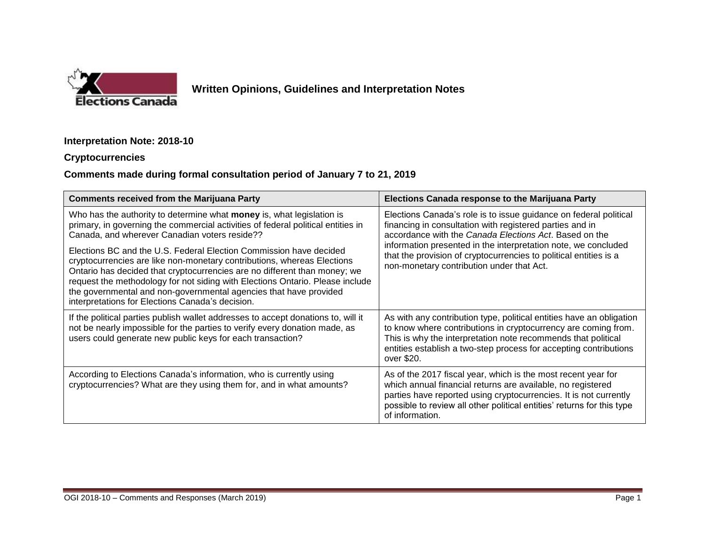

## **Written Opinions, Guidelines and Interpretation Notes**

## **Interpretation Note: 2018-10**

## **Cryptocurrencies**

## **Comments made during formal consultation period of January 7 to 21, 2019**

| <b>Comments received from the Marijuana Party</b>                                                                                                                                                                                                                                                                                                                                                                                    | <b>Elections Canada response to the Marijuana Party</b>                                                                                                                                                                                                                                                                                                                     |
|--------------------------------------------------------------------------------------------------------------------------------------------------------------------------------------------------------------------------------------------------------------------------------------------------------------------------------------------------------------------------------------------------------------------------------------|-----------------------------------------------------------------------------------------------------------------------------------------------------------------------------------------------------------------------------------------------------------------------------------------------------------------------------------------------------------------------------|
| Who has the authority to determine what <b>money</b> is, what legislation is<br>primary, in governing the commercial activities of federal political entities in<br>Canada, and wherever Canadian voters reside??                                                                                                                                                                                                                    | Elections Canada's role is to issue guidance on federal political<br>financing in consultation with registered parties and in<br>accordance with the Canada Elections Act. Based on the<br>information presented in the interpretation note, we concluded<br>that the provision of cryptocurrencies to political entities is a<br>non-monetary contribution under that Act. |
| Elections BC and the U.S. Federal Election Commission have decided<br>cryptocurrencies are like non-monetary contributions, whereas Elections<br>Ontario has decided that cryptocurrencies are no different than money; we<br>request the methodology for not siding with Elections Ontario. Please include<br>the governmental and non-governmental agencies that have provided<br>interpretations for Elections Canada's decision. |                                                                                                                                                                                                                                                                                                                                                                             |
| If the political parties publish wallet addresses to accept donations to, will it<br>not be nearly impossible for the parties to verify every donation made, as<br>users could generate new public keys for each transaction?                                                                                                                                                                                                        | As with any contribution type, political entities have an obligation<br>to know where contributions in cryptocurrency are coming from.<br>This is why the interpretation note recommends that political<br>entities establish a two-step process for accepting contributions<br>over \$20.                                                                                  |
| According to Elections Canada's information, who is currently using<br>cryptocurrencies? What are they using them for, and in what amounts?                                                                                                                                                                                                                                                                                          | As of the 2017 fiscal year, which is the most recent year for<br>which annual financial returns are available, no registered<br>parties have reported using cryptocurrencies. It is not currently<br>possible to review all other political entities' returns for this type<br>of information.                                                                              |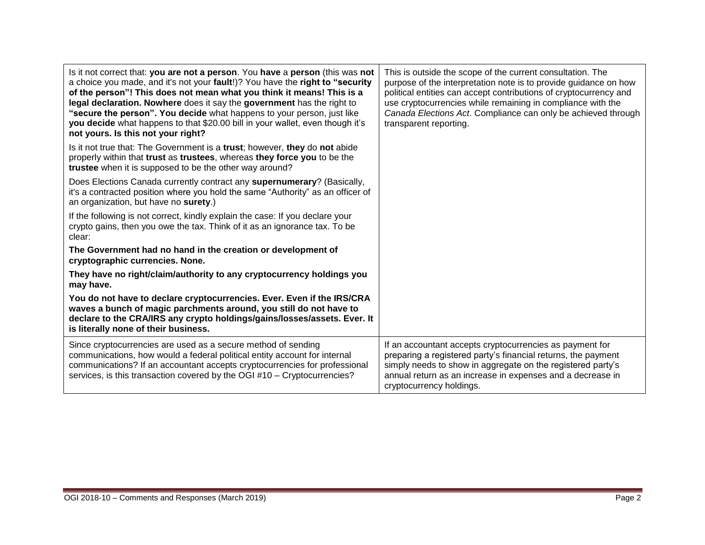| Is it not correct that: you are not a person. You have a person (this was not<br>a choice you made, and it's not your fault!)? You have the right to "security<br>of the person"! This does not mean what you think it means! This is a<br>legal declaration. Nowhere does it say the government has the right to<br>"secure the person". You decide what happens to your person, just like<br>you decide what happens to that \$20.00 bill in your wallet, even though it's<br>not yours. Is this not your right? | This is outside the scope of the current consultation. The<br>purpose of the interpretation note is to provide guidance on how<br>political entities can accept contributions of cryptocurrency and<br>use cryptocurrencies while remaining in compliance with the<br>Canada Elections Act. Compliance can only be achieved through<br>transparent reporting. |
|--------------------------------------------------------------------------------------------------------------------------------------------------------------------------------------------------------------------------------------------------------------------------------------------------------------------------------------------------------------------------------------------------------------------------------------------------------------------------------------------------------------------|---------------------------------------------------------------------------------------------------------------------------------------------------------------------------------------------------------------------------------------------------------------------------------------------------------------------------------------------------------------|
| Is it not true that: The Government is a trust; however, they do not abide<br>properly within that trust as trustees, whereas they force you to be the<br>trustee when it is supposed to be the other way around?                                                                                                                                                                                                                                                                                                  |                                                                                                                                                                                                                                                                                                                                                               |
| Does Elections Canada currently contract any supernumerary? (Basically,<br>it's a contracted position where you hold the same "Authority" as an officer of<br>an organization, but have no surety.)                                                                                                                                                                                                                                                                                                                |                                                                                                                                                                                                                                                                                                                                                               |
| If the following is not correct, kindly explain the case: If you declare your<br>crypto gains, then you owe the tax. Think of it as an ignorance tax. To be<br>clear:                                                                                                                                                                                                                                                                                                                                              |                                                                                                                                                                                                                                                                                                                                                               |
| The Government had no hand in the creation or development of<br>cryptographic currencies. None.                                                                                                                                                                                                                                                                                                                                                                                                                    |                                                                                                                                                                                                                                                                                                                                                               |
| They have no right/claim/authority to any cryptocurrency holdings you<br>may have.                                                                                                                                                                                                                                                                                                                                                                                                                                 |                                                                                                                                                                                                                                                                                                                                                               |
| You do not have to declare cryptocurrencies. Ever. Even if the IRS/CRA<br>waves a bunch of magic parchments around, you still do not have to<br>declare to the CRA/IRS any crypto holdings/gains/losses/assets. Ever. It<br>is literally none of their business.                                                                                                                                                                                                                                                   |                                                                                                                                                                                                                                                                                                                                                               |
| Since cryptocurrencies are used as a secure method of sending<br>communications, how would a federal political entity account for internal<br>communications? If an accountant accepts cryptocurrencies for professional<br>services, is this transaction covered by the OGI #10 - Cryptocurrencies?                                                                                                                                                                                                               | If an accountant accepts cryptocurrencies as payment for<br>preparing a registered party's financial returns, the payment<br>simply needs to show in aggregate on the registered party's<br>annual return as an increase in expenses and a decrease in<br>cryptocurrency holdings.                                                                            |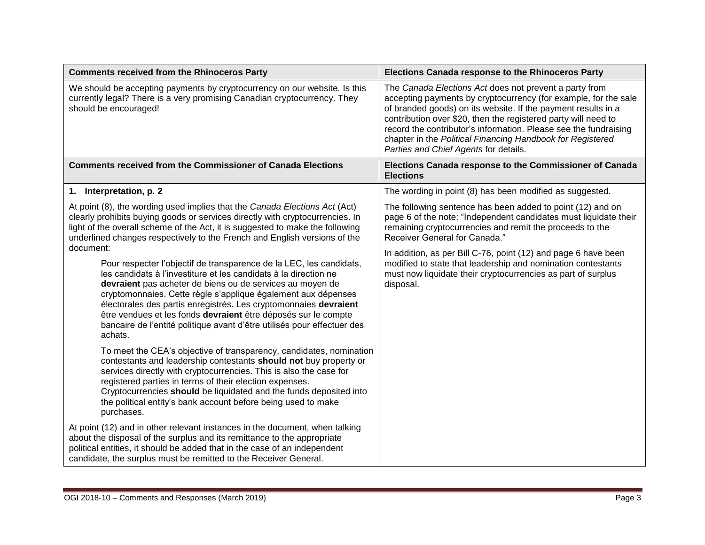| <b>Comments received from the Rhinoceros Party</b>                                                                                                                                                                                                                                                                                                                                                                                                                                                             | <b>Elections Canada response to the Rhinoceros Party</b>                                                                                                                                                                                                                                                                                                                                                                                |
|----------------------------------------------------------------------------------------------------------------------------------------------------------------------------------------------------------------------------------------------------------------------------------------------------------------------------------------------------------------------------------------------------------------------------------------------------------------------------------------------------------------|-----------------------------------------------------------------------------------------------------------------------------------------------------------------------------------------------------------------------------------------------------------------------------------------------------------------------------------------------------------------------------------------------------------------------------------------|
| We should be accepting payments by cryptocurrency on our website. Is this<br>currently legal? There is a very promising Canadian cryptocurrency. They<br>should be encouraged!                                                                                                                                                                                                                                                                                                                                 | The Canada Elections Act does not prevent a party from<br>accepting payments by cryptocurrency (for example, for the sale<br>of branded goods) on its website. If the payment results in a<br>contribution over \$20, then the registered party will need to<br>record the contributor's information. Please see the fundraising<br>chapter in the Political Financing Handbook for Registered<br>Parties and Chief Agents for details. |
| <b>Comments received from the Commissioner of Canada Elections</b>                                                                                                                                                                                                                                                                                                                                                                                                                                             | Elections Canada response to the Commissioner of Canada<br><b>Elections</b>                                                                                                                                                                                                                                                                                                                                                             |
| 1. Interpretation, p. 2                                                                                                                                                                                                                                                                                                                                                                                                                                                                                        | The wording in point (8) has been modified as suggested.                                                                                                                                                                                                                                                                                                                                                                                |
| At point (8), the wording used implies that the Canada Elections Act (Act)<br>clearly prohibits buying goods or services directly with cryptocurrencies. In<br>light of the overall scheme of the Act, it is suggested to make the following<br>underlined changes respectively to the French and English versions of the                                                                                                                                                                                      | The following sentence has been added to point (12) and on<br>page 6 of the note: "Independent candidates must liquidate their<br>remaining cryptocurrencies and remit the proceeds to the<br>Receiver General for Canada."                                                                                                                                                                                                             |
| document:<br>Pour respecter l'objectif de transparence de la LEC, les candidats,<br>les candidats à l'investiture et les candidats à la direction ne<br>devraient pas acheter de biens ou de services au moyen de<br>cryptomonnaies. Cette règle s'applique également aux dépenses<br>électorales des partis enregistrés. Les cryptomonnaies devraient<br>être vendues et les fonds devraient être déposés sur le compte<br>bancaire de l'entité politique avant d'être utilisés pour effectuer des<br>achats. | In addition, as per Bill C-76, point (12) and page 6 have been<br>modified to state that leadership and nomination contestants<br>must now liquidate their cryptocurrencies as part of surplus<br>disposal.                                                                                                                                                                                                                             |
| To meet the CEA's objective of transparency, candidates, nomination<br>contestants and leadership contestants should not buy property or<br>services directly with cryptocurrencies. This is also the case for<br>registered parties in terms of their election expenses.<br>Cryptocurrencies should be liquidated and the funds deposited into<br>the political entity's bank account before being used to make<br>purchases.                                                                                 |                                                                                                                                                                                                                                                                                                                                                                                                                                         |
| At point (12) and in other relevant instances in the document, when talking<br>about the disposal of the surplus and its remittance to the appropriate<br>political entities, it should be added that in the case of an independent<br>candidate, the surplus must be remitted to the Receiver General.                                                                                                                                                                                                        |                                                                                                                                                                                                                                                                                                                                                                                                                                         |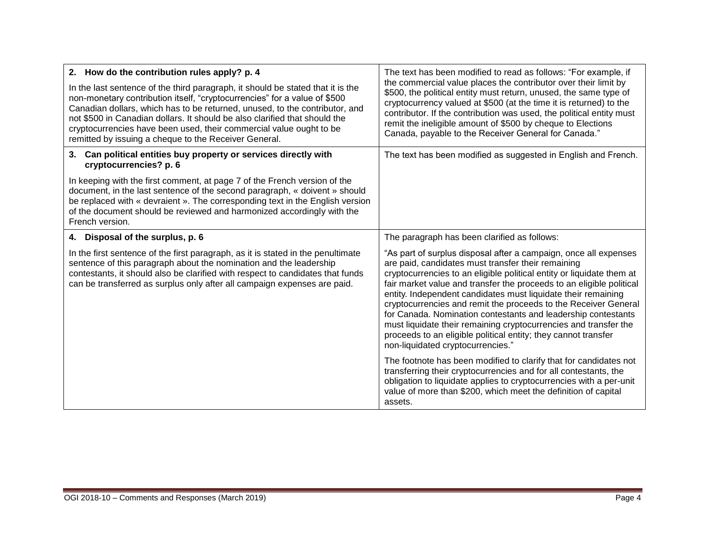| 2. How do the contribution rules apply? p. 4                                                                                                                                                                                                                                                                                                                                                                                                              | The text has been modified to read as follows: "For example, if<br>the commercial value places the contributor over their limit by<br>\$500, the political entity must return, unused, the same type of<br>cryptocurrency valued at \$500 (at the time it is returned) to the<br>contributor. If the contribution was used, the political entity must<br>remit the ineligible amount of \$500 by cheque to Elections<br>Canada, payable to the Receiver General for Canada."                                                                                                                                                                            |
|-----------------------------------------------------------------------------------------------------------------------------------------------------------------------------------------------------------------------------------------------------------------------------------------------------------------------------------------------------------------------------------------------------------------------------------------------------------|---------------------------------------------------------------------------------------------------------------------------------------------------------------------------------------------------------------------------------------------------------------------------------------------------------------------------------------------------------------------------------------------------------------------------------------------------------------------------------------------------------------------------------------------------------------------------------------------------------------------------------------------------------|
| In the last sentence of the third paragraph, it should be stated that it is the<br>non-monetary contribution itself, "cryptocurrencies" for a value of \$500<br>Canadian dollars, which has to be returned, unused, to the contributor, and<br>not \$500 in Canadian dollars. It should be also clarified that should the<br>cryptocurrencies have been used, their commercial value ought to be<br>remitted by issuing a cheque to the Receiver General. |                                                                                                                                                                                                                                                                                                                                                                                                                                                                                                                                                                                                                                                         |
| Can political entities buy property or services directly with<br>3.<br>cryptocurrencies? p. 6                                                                                                                                                                                                                                                                                                                                                             | The text has been modified as suggested in English and French.                                                                                                                                                                                                                                                                                                                                                                                                                                                                                                                                                                                          |
| In keeping with the first comment, at page 7 of the French version of the<br>document, in the last sentence of the second paragraph, « doivent » should<br>be replaced with « devraient ». The corresponding text in the English version<br>of the document should be reviewed and harmonized accordingly with the<br>French version.                                                                                                                     |                                                                                                                                                                                                                                                                                                                                                                                                                                                                                                                                                                                                                                                         |
| 4. Disposal of the surplus, p. 6                                                                                                                                                                                                                                                                                                                                                                                                                          | The paragraph has been clarified as follows:                                                                                                                                                                                                                                                                                                                                                                                                                                                                                                                                                                                                            |
| In the first sentence of the first paragraph, as it is stated in the penultimate<br>sentence of this paragraph about the nomination and the leadership<br>contestants, it should also be clarified with respect to candidates that funds<br>can be transferred as surplus only after all campaign expenses are paid.                                                                                                                                      | "As part of surplus disposal after a campaign, once all expenses<br>are paid, candidates must transfer their remaining<br>cryptocurrencies to an eligible political entity or liquidate them at<br>fair market value and transfer the proceeds to an eligible political<br>entity. Independent candidates must liquidate their remaining<br>cryptocurrencies and remit the proceeds to the Receiver General<br>for Canada. Nomination contestants and leadership contestants<br>must liquidate their remaining cryptocurrencies and transfer the<br>proceeds to an eligible political entity; they cannot transfer<br>non-liquidated cryptocurrencies." |
|                                                                                                                                                                                                                                                                                                                                                                                                                                                           | The footnote has been modified to clarify that for candidates not<br>transferring their cryptocurrencies and for all contestants, the<br>obligation to liquidate applies to cryptocurrencies with a per-unit<br>value of more than \$200, which meet the definition of capital<br>assets.                                                                                                                                                                                                                                                                                                                                                               |